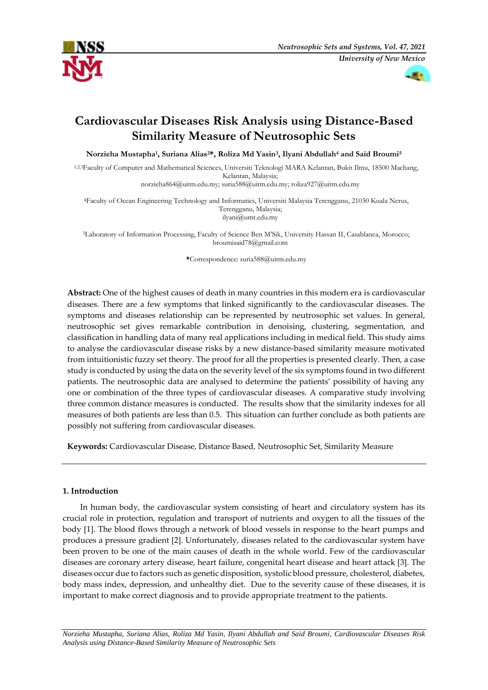



# **Cardiovascular Diseases Risk Analysis using Distance-Based Similarity Measure of Neutrosophic Sets**

**Norzieha Mustapha<sup>1</sup> , Suriana Alias2\*, Roliza Md Yasin<sup>3</sup> , Ilyani Abdullah<sup>4</sup> and Said Broumi<sup>5</sup>**

1,2,3Faculty of Computer and Mathematical Sciences, Universiti Teknologi MARA Kelantan, Bukit Ilmu, 18500 Machang, Kelantan, Malaysia;

norzieha864@uitm.edu.my; suria588@uitm.edu.my; [roliza927@uitm.edu.my](mailto:roliza927@uitm.edu.my)

<sup>4</sup>Faculty of Ocean Engineering Technology and Informatics, Universiti Malaysia Terengganu, 21030 Kuala Nerus, Terengganu, Malaysia; ilyani@umt.edu.my

<sup>5</sup>Laboratory of Information Processing, Faculty of Science Ben M'Sik, University Hassan II, Casablanca, Morocco; broumisaid78@gmail.com

**\***Correspondence: suria588@uitm.edu.my

**Abstract:** One of the highest causes of death in many countries in this modern era is cardiovascular diseases. There are a few symptoms that linked significantly to the cardiovascular diseases. The symptoms and diseases relationship can be represented by neutrosophic set values. In general, neutrosophic set gives remarkable contribution in denoising, clustering, segmentation, and classification in handling data of many real applications including in medical field. This study aims to analyse the cardiovascular disease risks by a new distance-based similarity measure motivated from intuitionistic fuzzy set theory. The proof for all the properties is presented clearly. Then, a case study is conducted by using the data on the severity level of the six symptoms found in two different patients. The neutrosophic data are analysed to determine the patients' possibility of having any one or combination of the three types of cardiovascular diseases. A comparative study involving three common distance measures is conducted. The results show that the similarity indexes for all measures of both patients are less than 0.5. This situation can further conclude as both patients are possibly not suffering from cardiovascular diseases.

**Keywords:** Cardiovascular Disease, Distance Based, Neutrosophic Set, Similarity Measure

# **1. Introduction**

In human body, the cardiovascular system consisting of heart and circulatory system has its crucial role in protection, regulation and transport of nutrients and oxygen to all the tissues of the body [1]. The blood flows through a network of blood vessels in response to the heart pumps and produces a pressure gradient [2]. Unfortunately, diseases related to the cardiovascular system have been proven to be one of the main causes of death in the whole world. Few of the cardiovascular diseases are coronary artery disease, heart failure, congenital heart disease and heart attack [3]. The diseases occur due to factors such as genetic disposition, systolic blood pressure, cholesterol, diabetes, body mass index, depression, and unhealthy diet. Due to the severity cause of these diseases, it is important to make correct diagnosis and to provide appropriate treatment to the patients.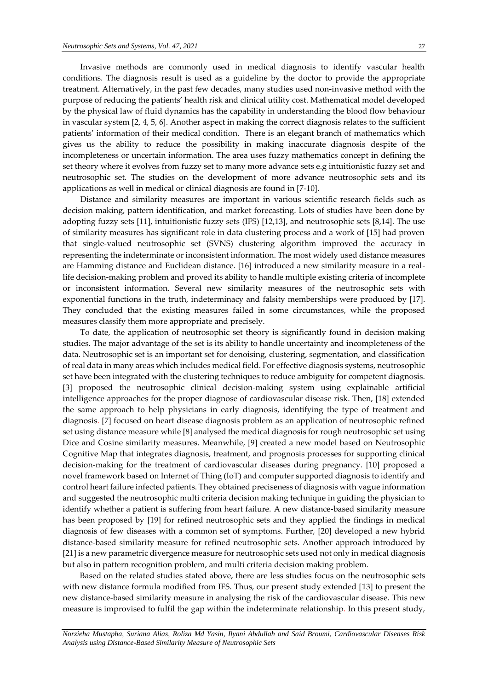Invasive methods are commonly used in medical diagnosis to identify vascular health conditions. The diagnosis result is used as a guideline by the doctor to provide the appropriate treatment. Alternatively, in the past few decades, many studies used non-invasive method with the purpose of reducing the patients' health risk and clinical utility cost. Mathematical model developed by the physical law of fluid dynamics has the capability in understanding the blood flow behaviour in vascular system [2, 4, 5, 6]. Another aspect in making the correct diagnosis relates to the sufficient patients' information of their medical condition. There is an elegant branch of mathematics which gives us the ability to reduce the possibility in making inaccurate diagnosis despite of the incompleteness or uncertain information. The area uses fuzzy mathematics concept in defining the set theory where it evolves from fuzzy set to many more advance sets e.g intuitionistic fuzzy set and neutrosophic set. The studies on the development of more advance neutrosophic sets and its applications as well in medical or clinical diagnosis are found in [7-10].

Distance and similarity measures are important in various scientific research fields such as decision making, pattern identification, and market forecasting. Lots of studies have been done by adopting fuzzy sets [11], intuitionistic fuzzy sets (IFS) [12,13], and neutrosophic sets [8,14]. The use of similarity measures has significant role in data clustering process and a work of [15] had proven that single-valued neutrosophic set (SVNS) clustering algorithm improved the accuracy in representing the indeterminate or inconsistent information. The most widely used distance measures are Hamming distance and Euclidean distance. [16] introduced a new similarity measure in a reallife decision-making problem and proved its ability to handle multiple existing criteria of incomplete or inconsistent information. Several new similarity measures of the neutrosophic sets with exponential functions in the truth, indeterminacy and falsity memberships were produced by [17]. They concluded that the existing measures failed in some circumstances, while the proposed measures classify them more appropriate and precisely.

To date, the application of neutrosophic set theory is significantly found in decision making studies. The major advantage of the set is its ability to handle uncertainty and incompleteness of the data. Neutrosophic set is an important set for denoising, clustering, segmentation, and classification of real data in many areas which includes medical field. For effective diagnosis systems, neutrosophic set have been integrated with the clustering techniques to reduce ambiguity for competent diagnosis. [3] proposed the neutrosophic clinical decision-making system using explainable artificial intelligence approaches for the proper diagnose of cardiovascular disease risk. Then, [18] extended the same approach to help physicians in early diagnosis, identifying the type of treatment and diagnosis. [7] focused on heart disease diagnosis problem as an application of neutrosophic refined set using distance measure while [8] analysed the medical diagnosis for rough neutrosophic set using Dice and Cosine similarity measures. Meanwhile, [9] created a new model based on Neutrosophic Cognitive Map that integrates diagnosis, treatment, and prognosis processes for supporting clinical decision-making for the treatment of cardiovascular diseases during pregnancy. [10] proposed a novel framework based on Internet of Thing (IoT) and computer supported diagnosis to identify and control heart failure infected patients. They obtained preciseness of diagnosis with vague information and suggested the neutrosophic multi criteria decision making technique in guiding the physician to identify whether a patient is suffering from heart failure. A new distance-based similarity measure has been proposed by [19] for refined neutrosophic sets and they applied the findings in medical diagnosis of few diseases with a common set of symptoms. Further, [20] developed a new hybrid distance-based similarity measure for refined neutrosophic sets. Another approach introduced by [21] is a new parametric divergence measure for neutrosophic sets used not only in medical diagnosis but also in pattern recognition problem, and multi criteria decision making problem.

Based on the related studies stated above, there are less studies focus on the neutrosophic sets with new distance formula modified from IFS. Thus, our present study extended [13] to present the new distance-based similarity measure in analysing the risk of the cardiovascular disease. This new measure is improvised to fulfil the gap within the indeterminate relationship. In this present study,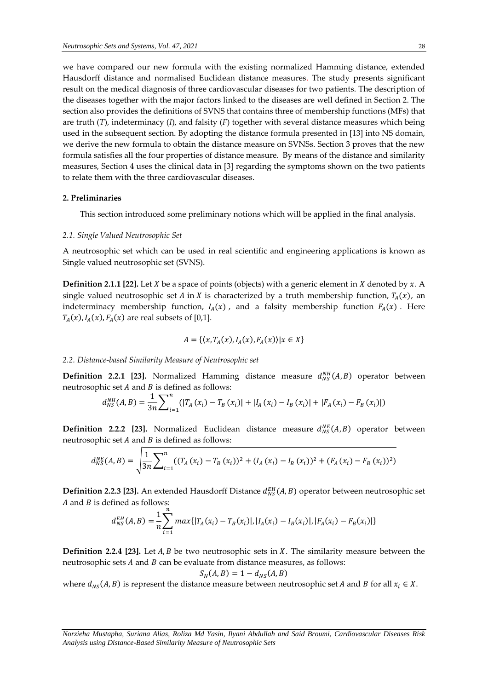we have compared our new formula with the existing normalized Hamming distance, extended Hausdorff distance and normalised Euclidean distance measures. The study presents significant result on the medical diagnosis of three cardiovascular diseases for two patients. The description of the diseases together with the major factors linked to the diseases are well defined in Section 2. The section also provides the definitions of SVNS that contains three of membership functions (MFs) that are truth (*T*), indeterminacy (*I*), and falsity (*F*) together with several distance measures which being used in the subsequent section. By adopting the distance formula presented in [13] into NS domain, we derive the new formula to obtain the distance measure on SVNSs. Section 3 proves that the new formula satisfies all the four properties of distance measure. By means of the distance and similarity

#### **2. Preliminaries**

This section introduced some preliminary notions which will be applied in the final analysis.

measures, Section 4 uses the clinical data in [3] regarding the symptoms shown on the two patients

## *2.1. Single Valued Neutrosophic Set*

A neutrosophic set which can be used in real scientific and engineering applications is known as Single valued neutrosophic set (SVNS).

**Definition 2.1.1 [22].** Let *X* be a space of points (objects) with a generic element in *X* denoted by *x*. A single valued neutrosophic set A in X is characterized by a truth membership function,  $T_A(x)$ , an indeterminacy membership function,  $I_A(x)$ , and a falsity membership function  $F_A(x)$ . Here  $T_A(x)$ ,  $I_A(x)$ ,  $F_A(x)$  are real subsets of [0,1].

$$
A = \{ (x, T_A(x), I_A(x), F_A(x)) | x \in X \}
$$

#### *2.2. Distance-based Similarity Measure of Neutrosophic set*

to relate them with the three cardiovascular diseases.

**Definition 2.2.1 [23].** Normalized Hamming distance measure  $d_{NS}^{NH}(A, B)$  operator between neutrosophic set  $A$  and  $B$  is defined as follows:

$$
d_{NS}^{NH}(A,B) = \frac{1}{3n} \sum_{i=1}^{n} (|T_A(x_i) - T_B(x_i)| + |I_A(x_i) - I_B(x_i)| + |F_A(x_i) - F_B(x_i)|)
$$

**Definition 2.2.2 [23].** Normalized Euclidean distance measure  $d_{NS}^{NE}(A, B)$  operator between neutrosophic set  $A$  and  $B$  is defined as follows:

$$
d_{NS}^{NE}(A,B) = \sqrt{\frac{1}{3n} \sum_{i=1}^{n} ((T_A(x_i) - T_B(x_i))^2 + (I_A(x_i) - I_B(x_i))^2 + (F_A(x_i) - F_B(x_i))^2)}
$$

 $\bf{Definition 2.2.3 [23].}$  An extended Hausdorff Distance  $d_{NS}^{EH}(A,B)$  operator between neutrosophic set  $A$  and  $B$  is defined as follows:

$$
d_{NS}^{EH}(A,B) = \frac{1}{n} \sum_{i=1}^{n} max\{ |T_A(x_i) - T_B(x_i)|, |I_A(x_i) - I_B(x_i)|, |F_A(x_i) - F_B(x_i)| \}
$$

**Definition 2.2.4 [23].** Let  $A, B$  be two neutrosophic sets in  $X$ . The similarity measure between the neutrosophic sets  $A$  and  $B$  can be evaluate from distance measures, as follows:

$$
S_N(A,B)=1-d_{NS}(A,B)
$$

where  $d_{NS}(A, B)$  is represent the distance measure between neutrosophic set A and B for all  $x_i \in X$ .

*Norzieha Mustapha, Suriana Alias, Roliza Md Yasin, Ilyani Abdullah and Said Broumi, Cardiovascular Diseases Risk Analysis using Distance-Based Similarity Measure of Neutrosophic Sets*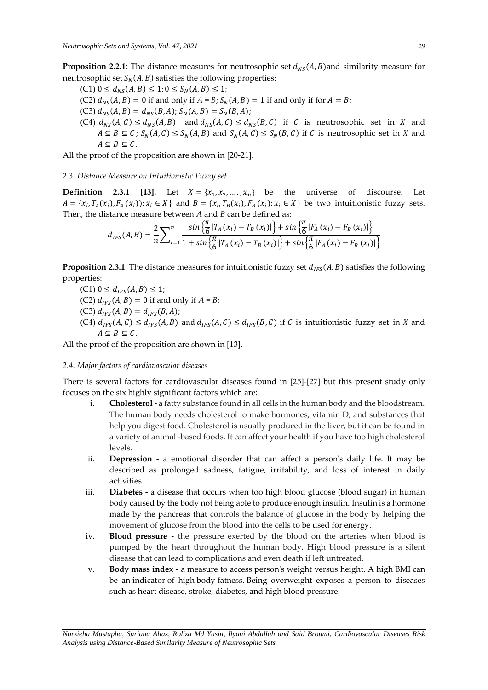**Proposition 2.2.1**: The distance measures for neutrosophic set  $d_{NS}(A, B)$  and similarity measure for neutrosophic set  $S_N(A, B)$  satisfies the following properties:

 $(C1)$   $0 \le d_{NS}(A, B) \le 1$ ;  $0 \le S_N(A, B) \le 1$ ; (C2)  $d_{NS}(A, B) = 0$  if and only if  $A = B$ ;  $S_N(A, B) = 1$  if and only if for  $A = B$ ; (C3)  $d_{NS}(A, B) = d_{NS}(B, A); S_N(A, B) = S_N(B, A);$ (C4)  $d_{NS}(A, C) \leq d_{NS}(A, B)$  and  $d_{NS}(A, C) \leq d_{NS}(B, C)$  if C is neutrosophic set in X and  $A \subseteq B \subseteq C$ ;  $S_N(A, C) \le S_N(A, B)$  and  $S_N(A, C) \le S_N(B, C)$  if C is neutrosophic set in X and  $A \subseteq B \subseteq C$ .

All the proof of the proposition are shown in [20-21].

## *2.3. Distance Measure on Intuitionistic Fuzzy set*

**Definition 2.3.1 [13].** Let  $X = \{x_1, x_2, ..., x_n\}$  be the universe of discourse. Let  $A = \{x_i, T_A(x_i), F_A(x_i)\}\colon x_i \in X\}$  and  $B = \{x_i, T_B(x_i), F_B(x_i)\colon x_i \in X\}$  be two intuitionistic fuzzy sets. Then, the distance measure between *A* and *B* can be defined as:

$$
d_{IFS}(A,B) = \frac{2}{n} \sum_{i=1}^{n} \frac{\sin \left\{ \frac{\pi}{6} |T_A(x_i) - T_B(x_i)| \right\} + \sin \left\{ \frac{\pi}{6} |F_A(x_i) - F_B(x_i)| \right\}}{1 + \sin \left\{ \frac{\pi}{6} |T_A(x_i) - T_B(x_i)| \right\} + \sin \left\{ \frac{\pi}{6} |F_A(x_i) - F_B(x_i)| \right\}}
$$

**Proposition 2.3.1**: The distance measures for intuitionistic fuzzy set  $d_{IFS}(A, B)$  satisfies the following properties:

- $(C1)$   $0 \le d_{IFS}(A, B) \le 1;$  $(C2) d_{IFS}(A, B) = 0$  if and only if  $A = B$ ;
- (C3)  $d_{IFS}(A, B) = d_{IFS}(B, A);$
- (C4)  $d_{IFS}(A, C) \leq d_{IFS}(A, B)$  and  $d_{IFS}(A, C) \leq d_{IFS}(B, C)$  if C is intuitionistic fuzzy set in X and  $A \subseteq B \subseteq C$ .

All the proof of the proposition are shown in [13].

#### *2.4. Major factors of cardiovascular diseases*

There is several factors for cardiovascular diseases found in [25]-[27] but this present study only focuses on the six highly significant factors which are:

- i. **Cholesterol**  a fatty substance found in all cells in the human body and the bloodstream. The human body needs cholesterol to make hormones, vitamin D, and substances that help you digest food. Cholesterol is usually produced in the liver, but it can be found in a variety of animal -based foods. It can affect your health if you have too high cholesterol levels.
- ii. **Depression** a emotional disorder that can affect a person's daily life. It may be described as prolonged sadness, fatigue, irritability, and loss of interest in daily activities.
- iii. **Diabetes** a disease that occurs when too high blood glucose (blood sugar) in human body caused by the body not being able to produce enough insulin. Insulin is a hormone made by the pancreas that controls the balance of glucose in the body by helping the movement of glucose from the blood into the cells to be used for energy.
- iv. **Blood pressure** the pressure exerted by the blood on the arteries when blood is pumped by the heart throughout the human body. High blood pressure is a silent disease that can lead to complications and even death if left untreated.
- v. **Body mass index**  a measure to access person's weight versus height. A high BMI can be an indicator of high body fatness. Being overweight exposes a person to diseases such as heart disease, stroke, diabetes, and high blood pressure.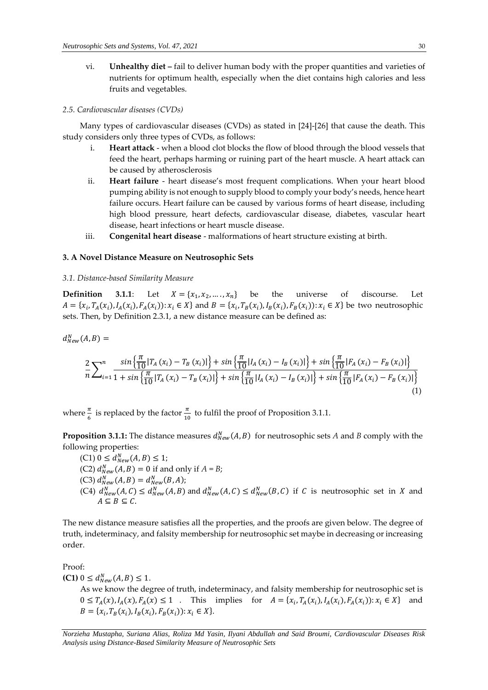vi. **Unhealthy diet -** fail to deliver human body with the proper quantities and varieties of nutrients for optimum health, especially when the diet contains high calories and less fruits and vegetables.

#### *2.5. Cardiovascular diseases (CVDs)*

Many types of cardiovascular diseases (CVDs) as stated in [24]-[26] that cause the death. This study considers only three types of CVDs, as follows:

- i. **Heart attack** when a blood clot blocks the flow of blood through the blood vessels that feed the heart, perhaps harming or ruining part of the heart muscle. A heart attack can be caused by atherosclerosis
- ii. **Heart failure** heart disease's most frequent complications. When your heart blood pumping ability is not enough to supply blood to comply your body's needs, hence heart failure occurs. Heart failure can be caused by various forms of heart disease, including high blood pressure, heart defects, cardiovascular disease, diabetes, vascular heart disease, heart infections or heart muscle disease.
- iii. **Congenital heart disease** malformations of heart structure existing at birth.

## **3. A Novel Distance Measure on Neutrosophic Sets**

#### *3.1. Distance-based Similarity Measure*

**Definition** 3.1.1: Let  $X = \{x_1, x_2, ..., x_n\}$  be the universe of discourse. Let  $A = \{x_i, T_A(x_i), I_A(x_i), F_A(x_i)\}: x_i \in X\}$  and  $B = \{x_i, T_B(x_i), I_B(x_i), F_B(x_i)\}: x_i \in X\}$  be two neutrosophic sets. Then, by Definition 2.3.1, a new distance measure can be defined as:

$$
d_{New}^N(A,B) =
$$

$$
\frac{2}{n} \sum_{i=1}^{n} \frac{\sin \left\{ \frac{\pi}{10} |T_A(x_i) - T_B(x_i)| \right\} + \sin \left\{ \frac{\pi}{10} |I_A(x_i) - I_B(x_i)| \right\} + \sin \left\{ \frac{\pi}{10} |F_A(x_i) - F_B(x_i)| \right\}}{\sin \left\{ \frac{\pi}{10} |T_A(x_i) - T_B(x_i)| \right\} + \sin \left\{ \frac{\pi}{10} |I_A(x_i) - I_B(x_i)| \right\} + \sin \left\{ \frac{\pi}{10} |F_A(x_i) - F_B(x_i)| \right\}}
$$
\n(1)

where  $\frac{\pi}{6}$  is replaced by the factor  $\frac{\pi}{10}$  to fulfil the proof of Proposition 3.1.1.

**Proposition 3.1.1:** The distance measures  $d_{New}^{N}(A, B)$  for neutrosophic sets *A* and *B* comply with the following properties:

- $(C1)$   $0 \le d_{New}^{N}(A, B) \le 1;$
- $(C2)$   $d_{New}^{N}(A, B) = 0$  if and only if  $A = B$ ;
- (C3)  $d_{New}^{N}(A, B) = d_{New}^{N}(B, A);$
- (C4)  $d_{New}^N(A,C) \leq d_{New}^N(A,B)$  and  $d_{New}^N(A,C) \leq d_{New}^N(B,C)$  if C is neutrosophic set in X and  $A \subseteq B \subseteq C$ .

The new distance measure satisfies all the properties, and the proofs are given below. The degree of truth, indeterminacy, and falsity membership for neutrosophic set maybe in decreasing or increasing order.

Proof: **(C1)**  $0 \le d_{New}^{N}(A, B) \le 1$ . As we know the degree of truth, indeterminacy, and falsity membership for neutrosophic set is  $0 \le T_A(x), I_A(x), F_A(x) \le 1$ . This implies for  $A = \{x_i, T_A(x_i), I_A(x_i), F_A(x_i)\}: x_i \in X\}$  and  $B = \{x_i, T_B(x_i), I_B(x_i), F_B(x_i)) : x_i \in X\}.$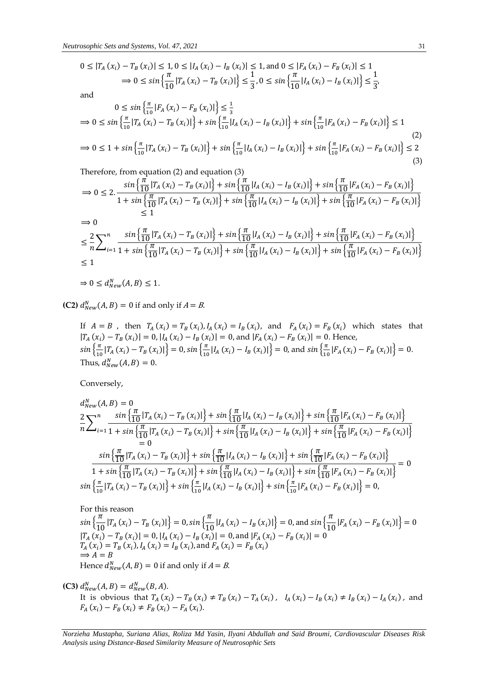$$
0 \le |T_A(x_i) - T_B(x_i)| \le 1, 0 \le |I_A(x_i) - I_B(x_i)| \le 1, \text{ and } 0 \le |F_A(x_i) - F_B(x_i)| \le 1
$$
  
\n
$$
\Rightarrow 0 \le \sin\left\{\frac{\pi}{10} |T_A(x_i) - T_B(x_i)|\right\} \le \frac{1}{3}, 0 \le \sin\left\{\frac{\pi}{10} |I_A(x_i) - I_B(x_i)|\right\} \le \frac{1}{3},
$$

and

$$
0 \le \sin\left\{\frac{\pi}{10}|F_A(x_i) - F_B(x_i)|\right\} \le \frac{1}{3}
$$
  
\n
$$
\Rightarrow 0 \le \sin\left\{\frac{\pi}{10}|T_A(x_i) - T_B(x_i)|\right\} + \sin\left\{\frac{\pi}{10}|I_A(x_i) - I_B(x_i)|\right\} + \sin\left\{\frac{\pi}{10}|F_A(x_i) - F_B(x_i)|\right\} \le 1
$$
  
\n
$$
\Rightarrow 0 \le 1 + \sin\left\{\frac{\pi}{10}|T_A(x_i) - T_B(x_i)|\right\} + \sin\left\{\frac{\pi}{10}|I_A(x_i) - I_B(x_i)|\right\} + \sin\left\{\frac{\pi}{10}|F_A(x_i) - F_B(x_i)|\right\} \le 2
$$
  
\n(2)

Therefore, from equation (2) and equation (3)  

$$
\left(\frac{\pi}{4} + \frac{\pi}{4} + \frac{\pi}{4} + \frac{\pi}{4} + \frac{\pi}{4} + \frac{\pi}{4} + \frac{\pi}{4} + \frac{\pi}{4} + \frac{\pi}{4} + \frac{\pi}{4} + \frac{\pi}{4} + \frac{\pi}{4} + \frac{\pi}{4} + \frac{\pi}{4} + \frac{\pi}{4} + \frac{\pi}{4} + \frac{\pi}{4} + \frac{\pi}{4} + \frac{\pi}{4} + \frac{\pi}{4} + \frac{\pi}{4} + \frac{\pi}{4} + \frac{\pi}{4} + \frac{\pi}{4} + \frac{\pi}{4} + \frac{\pi}{4} + \frac{\pi}{4} + \frac{\pi}{4} + \frac{\pi}{4} + \frac{\pi}{4} + \frac{\pi}{4} + \frac{\pi}{4} + \frac{\pi}{4} + \frac{\pi}{4} + \frac{\pi}{4} + \frac{\pi}{4} + \frac{\pi}{4} + \frac{\pi}{4} + \frac{\pi}{4} + \frac{\pi}{4} + \frac{\pi}{4} + \frac{\pi}{4} + \frac{\pi}{4} + \frac{\pi}{4} + \frac{\pi}{4} + \frac{\pi}{4} + \frac{\pi}{4} + \frac{\pi}{4} + \frac{\pi}{4} + \frac{\pi}{4} + \frac{\pi}{4} + \frac{\pi}{4} + \frac{\pi}{4} + \frac{\pi}{4} + \frac{\pi}{4} + \frac{\pi}{4} + \frac{\pi}{4} + \frac{\pi}{4} + \frac{\pi}{4} + \frac{\pi}{4} + \frac{\pi}{4} + \frac{\pi}{4} + \frac{\pi}{4} + \frac{\pi}{4} + \frac{\pi}{4} + \frac{\pi}{4} + \frac{\pi}{4} + \frac{\pi}{4} + \frac{\pi}{4} + \frac{\pi}{4} + \frac{\pi}{4} + \frac{\pi}{4} + \frac{\pi}{4} + \frac{\pi}{4} + \frac{\pi}{4} + \frac{\pi}{4} + \frac{\pi}{4} + \frac{\pi}{4} + \frac{\pi}{4} + \frac{\pi}{4} + \frac{\pi}{4} + \frac{\pi}{4} + \frac{\pi}{4} + \frac{\pi}{4} + \frac{\pi}{4} + \frac{\pi}{4} + \frac{\pi}{4} + \frac{\pi}{4} + \frac{\pi}{4} + \frac{\pi}{4} + \frac{\pi}{4} + \frac{\pi}{4} + \frac{\pi}{4} + \
$$

$$
0 \le 2 \cdot \frac{\sin \left\{ \frac{\pi}{10} |T_A(x_i) - T_B(x_i)| \right\} + \sin \left\{ \frac{\pi}{10} |I_A(x_i) - I_B(x_i)| \right\} + \sin \left\{ \frac{\pi}{10} |I_A(x_i) - I_B(x_i)| \right\}}{1 + \sin \left\{ \frac{\pi}{10} |T_A(x_i) - T_B(x_i)| \right\} + \sin \left\{ \frac{\pi}{10} |I_A(x_i) - I_B(x_i)| \right\} + \sin \left\{ \frac{\pi}{10} |I_A(x_i) - I_B(x_i)| \right\}} \le 1
$$
\n
$$
\Rightarrow 0
$$
\n
$$
\le \frac{2}{n} \sum_{i=1}^{n} \frac{\sin \left\{ \frac{\pi}{10} |T_A(x_i) - T_B(x_i)| \right\} + \sin \left\{ \frac{\pi}{10} |I_A(x_i) - I_B(x_i)| \right\} + \sin \left\{ \frac{\pi}{10} |F_A(x_i) - F_B(x_i)| \right\}}{\frac{\pi}{10} |T_A(x_i) - T_B(x_i)|} \le 1
$$
\n
$$
\le 1
$$

 $\Rightarrow 0 \le d_{New}^N(A, B) \le 1.$ 

**(C2)**  $d_{New}^{N}(A, B) = 0$  if and only if  $A = B$ .

If 
$$
A = B
$$
, then  $T_A(x_i) = T_B(x_i)$ ,  $I_A(x_i) = I_B(x_i)$ , and  $F_A(x_i) = F_B(x_i)$  which states that  $|T_A(x_i) - T_B(x_i)| = 0$ ,  $|I_A(x_i) - I_B(x_i)| = 0$ , and  $|F_A(x_i) - F_B(x_i)| = 0$ . Hence,  
\n
$$
\sin\left\{\frac{\pi}{10}|T_A(x_i) - T_B(x_i)|\right\} = 0, \sin\left\{\frac{\pi}{10}|I_A(x_i) - I_B(x_i)|\right\} = 0, \text{ and } \sin\left\{\frac{\pi}{10}|F_A(x_i) - F_B(x_i)|\right\} = 0.
$$
\nThus,  $d_{New}^{N}(A, B) = 0$ .

Conversely,

$$
d_{New}^{N}(A,B) = 0
$$
  
\n
$$
\frac{2}{n} \sum_{i=1}^{n} \frac{\sin \left\{ \frac{\pi}{10} |T_A(x_i) - T_B(x_i)| \right\} + \sin \left\{ \frac{\pi}{10} |I_A(x_i) - I_B(x_i)| \right\} + \sin \left\{ \frac{\pi}{10} |F_A(x_i) - F_B(x_i)| \right\}}{1 + \sin \left\{ \frac{\pi}{10} |T_A(x_i) - T_B(x_i)| \right\} + \sin \left\{ \frac{\pi}{10} |I_A(x_i) - I_B(x_i)| \right\} + \sin \left\{ \frac{\pi}{10} |F_A(x_i) - F_B(x_i)| \right\}}
$$
  
\n
$$
= 0
$$
  
\n
$$
\frac{\sin \left\{ \frac{\pi}{10} |T_A(x_i) - T_B(x_i)| \right\} + \sin \left\{ \frac{\pi}{10} |I_A(x_i) - I_B(x_i)| \right\} + \sin \left\{ \frac{\pi}{10} |F_A(x_i) - F_B(x_i)| \right\}}{1 + \sin \left\{ \frac{\pi}{10} |T_A(x_i) - T_B(x_i)| \right\} + \sin \left\{ \frac{\pi}{10} |I_A(x_i) - I_B(x_i)| \right\} + \sin \left\{ \frac{\pi}{10} |F_A(x_i) - F_B(x_i)| \right\}}
$$
  
\n
$$
\sin \left\{ \frac{\pi}{10} |T_A(x_i) - T_B(x_i)| \right\} + \sin \left\{ \frac{\pi}{10} |I_A(x_i) - I_B(x_i)| \right\} + \sin \left\{ \frac{\pi}{10} |F_A(x_i) - F_B(x_i)| \right\} = 0,
$$

For this reason  
\n
$$
\sin\left\{\frac{\pi}{10}|T_A(x_i) - T_B(x_i)|\right\} = 0, \sin\left\{\frac{\pi}{10}|I_A(x_i) - I_B(x_i)|\right\} = 0, \text{ and } \sin\left\{\frac{\pi}{10}|F_A(x_i) - F_B(x_i)|\right\} = 0
$$
\n
$$
|T_A(x_i) - T_B(x_i)| = 0, |I_A(x_i) - I_B(x_i)| = 0, \text{ and } |F_A(x_i) - F_B(x_i)| = 0
$$
\n
$$
T_A(x_i) = T_B(x_i), I_A(x_i) = I_B(x_i), \text{ and } F_A(x_i) = F_B(x_i)
$$
\n
$$
\Rightarrow A = B
$$
\nHence  $d_{New}^N(A, B) = 0$  if and only if  $A = B$ .

**(C3)**  $d_{New}^{N}(A, B) = d_{New}^{N}(B, A)$ . It is obvious that  $T_A(x_i) - T_B(x_i) \neq T_B(x_i) - T_A(x_i)$ ,  $I_A(x_i) - I_B(x_i) \neq I_B(x_i) - I_A(x_i)$ , and  $F_A(x_i) - F_B(x_i) \neq F_B(x_i) - F_A(x_i).$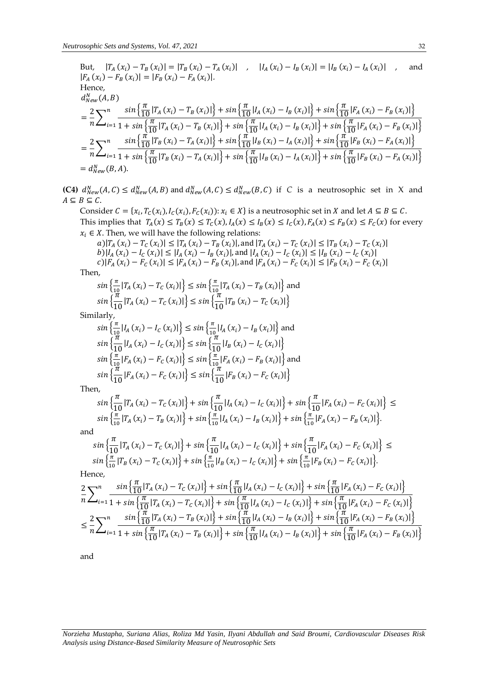But,  $(x_i) - T_B(x_i) = |T_B(x_i) - T_A(x_i)|$ ,  $|I_A(x_i) - I_B(x_i)| = |I_B(x_i) - I_A(x_i)|$ , and  $|F_A(x_i) - F_B(x_i)| = |F_B(x_i) - F_A(x_i)|.$ Hence,  $d_{New}^N(A, B)$  $=\frac{2}{x}$  $\frac{1}{n}\sum$  $\sin\left\{\frac{\pi}{10}|T_A(x_i) - T_B(x_i)|\right\} + \sin\left\{\frac{\pi}{10}|I_A(x_i) - I_B(x_i)|\right\} + \sin\left\{\frac{\pi}{10}|F_A(x_i) - F_B(x_i)|\right\}$  $1+ \sin\left\{\frac{\pi}{10} |T_A(x_i) - T_B(x_i)|\right\} + \sin\left\{\frac{\pi}{10} |I_A(x_i) - I_B(x_i)|\right\} + \sin\left\{\frac{\pi}{10} |F_A(x_i) - F_B(x_i)|\right\}$  $\boldsymbol{n}$  $i=1$  $=\frac{2}{x}$  $\frac{1}{n}\sum$  $\sin\left\{\frac{\pi}{10}|T_B(x_i) - T_A(x_i)|\right\} + \sin\left\{\frac{\pi}{10}|I_B(x_i) - I_A(x_i)|\right\} + \sin\left\{\frac{\pi}{10}|F_B(x_i) - F_A(x_i)|\right\}$  $1+ \sin\left\{\frac{\pi}{10} |T_B(x_i) - T_A(x_i)|\right\} + \sin\left\{\frac{\pi}{10} |I_B(x_i) - I_A(x_i)|\right\} + \sin\left\{\frac{\pi}{10} |F_B(x_i) - F_A(x_i)|\right\}$  $\boldsymbol{n}$  $i=1$  $= d_{New}^{N}(B, A).$ 

**(C4)**  $d_{New}^N(A, C) \le d_{New}^N(A, B)$  and  $d_{New}^N(A, C) \le d_{New}^N(B, C)$  if *C* is a neutrosophic set in *X* and  $A \subseteq B \subseteq C$ .

Consider  $C = \{x_i, T_C(x_i), I_C(x_i), F_C(x_i)\}: x_i \in X\}$  is a neutrosophic set in X and let  $A \subseteq B \subseteq C$ . This implies that  $T_A(x) \le T_B(x) \le T_C(x)$ ,  $I_A(x) \le I_B(x) \le I_C(x)$ ,  $F_A(x) \le F_B(x) \le F_C(x)$  for every  $x_i \in X$ . Then, we will have the following relations:

 $a)|T_A(x_i) - T_C(x_i)| \leq |T_A(x_i) - T_B(x_i)|$ , and  $|T_A(x_i) - T_C(x_i)| \leq |T_B(x_i) - T_C(x_i)|$  $|b||I_A(x_i) - I_C(x_i)| \leq |I_A(x_i) - I_B(x_i)|$ , and  $|I_A(x_i) - I_C(x_i)| \leq |I_B(x_i) - I_C(x_i)|$ c)| $F_A(x_i) - F_C(x_i)$ |  $\leq |F_A(x_i) - F_B(x_i)|$ , and  $|F_A(x_i) - F_C(x_i)| \leq |F_B(x_i) - F_C(x_i)|$ 

Then,

$$
\sin\left\{\frac{\pi}{10}|T_A(x_i) - T_C(x_i)|\right\} \le \sin\left\{\frac{\pi}{10}|T_A(x_i) - T_B(x_i)|\right\} \text{ and}
$$
\n
$$
\sin\left\{\frac{\pi}{10}|T_A(x_i) - T_C(x_i)|\right\} \le \sin\left\{\frac{\pi}{10}|T_B(x_i) - T_C(x_i)|\right\}
$$

Similarly,

$$
\sin\left\{\frac{\pi}{10}|I_A(x_i) - I_C(x_i)|\right\} \le \sin\left\{\frac{\pi}{10}|I_A(x_i) - I_B(x_i)|\right\} \text{ and}
$$
\n
$$
\sin\left\{\frac{\pi}{10}|I_A(x_i) - I_C(x_i)|\right\} \le \sin\left\{\frac{\pi}{10}|I_B(x_i) - I_C(x_i)|\right\}
$$
\n
$$
\sin\left\{\frac{\pi}{10}|F_A(x_i) - F_C(x_i)|\right\} \le \sin\left\{\frac{\pi}{10}|F_A(x_i) - F_B(x_i)|\right\} \text{ and}
$$
\n
$$
\sin\left\{\frac{\pi}{10}|F_A(x_i) - F_C(x_i)|\right\} \le \sin\left\{\frac{\pi}{10}|F_B(x_i) - F_C(x_i)|\right\}
$$

Then,

$$
\sin\left\{\frac{\pi}{10}|T_A(x_i) - T_C(x_i)|\right\} + \sin\left\{\frac{\pi}{10}|I_A(x_i) - I_C(x_i)|\right\} + \sin\left\{\frac{\pi}{10}|F_A(x_i) - F_C(x_i)|\right\} \le \sin\left\{\frac{\pi}{10}|T_A(x_i) - T_B(x_i)|\right\} + \sin\left\{\frac{\pi}{10}|I_A(x_i) - I_B(x_i)|\right\} + \sin\left\{\frac{\pi}{10}|F_A(x_i) - F_B(x_i)|\right\}.
$$

and

$$
\sin\left\{\frac{\pi}{10}|T_A(x_i) - T_C(x_i)|\right\} + \sin\left\{\frac{\pi}{10}|I_A(x_i) - I_C(x_i)|\right\} + \sin\left\{\frac{\pi}{10}|F_A(x_i) - F_C(x_i)|\right\} \le \sin\left\{\frac{\pi}{10}|T_B(x_i) - T_C(x_i)|\right\} + \sin\left\{\frac{\pi}{10}|I_B(x_i) - I_C(x_i)|\right\} + \sin\left\{\frac{\pi}{10}|F_B(x_i) - F_C(x_i)|\right\}.
$$

Hence,

$$
\frac{2}{n} \sum_{i=1}^{n} \frac{\sin \left\{ \frac{\pi}{10} |T_A(x_i) - T_C(x_i)| \right\} + \sin \left\{ \frac{\pi}{10} |I_A(x_i) - I_C(x_i)| \right\} + \sin \left\{ \frac{\pi}{10} |F_A(x_i) - F_C(x_i)| \right\}}{\sin \left\{ \frac{\pi}{10} |T_A(x_i) - T_C(x_i)| \right\} + \sin \left\{ \frac{\pi}{10} |I_A(x_i) - I_C(x_i)| \right\} + \sin \left\{ \frac{\pi}{10} |F_A(x_i) - F_C(x_i)| \right\}}\n\leq \frac{2}{n} \sum_{i=1}^{n} \frac{\sin \left\{ \frac{\pi}{10} |T_A(x_i) - T_B(x_i)| \right\} + \sin \left\{ \frac{\pi}{10} |I_A(x_i) - I_B(x_i)| \right\} + \sin \left\{ \frac{\pi}{10} |F_A(x_i) - F_B(x_i)| \right\}}{\sin \left\{ \frac{\pi}{10} |I_A(x_i) - I_B(x_i)| \right\} + \sin \left\{ \frac{\pi}{10} |I_A(x_i) - I_B(x_i)| \right\} + \sin \left\{ \frac{\pi}{10} |F_A(x_i) - F_B(x_i)| \right\}}
$$

and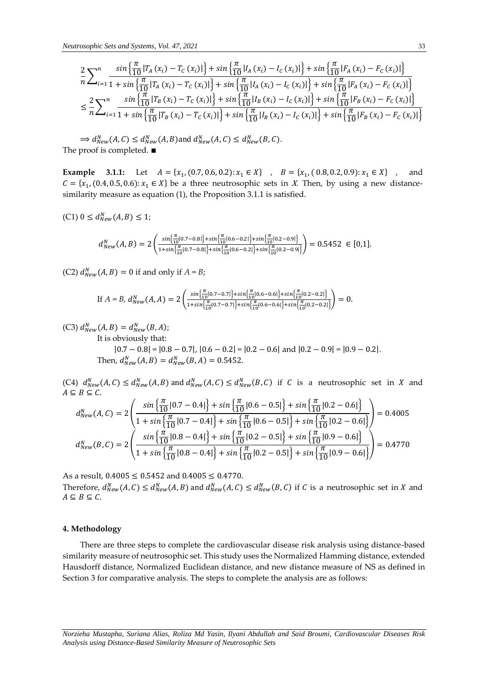$$
\frac{2}{n} \sum_{i=1}^{n} \frac{\sin \left\{ \frac{\pi}{10} |T_A(x_i) - T_C(x_i)| \right\} + \sin \left\{ \frac{\pi}{10} |I_A(x_i) - I_C(x_i)| \right\} + \sin \left\{ \frac{\pi}{10} |F_A(x_i) - F_C(x_i)| \right\}}{\sin \left\{ \frac{\pi}{10} |T_A(x_i) - T_C(x_i)| \right\} + \sin \left\{ \frac{\pi}{10} |I_A(x_i) - I_C(x_i)| \right\} + \sin \left\{ \frac{\pi}{10} |F_A(x_i) - F_C(x_i)| \right\}}\n\leq \frac{2}{n} \sum_{i=1}^{n} \frac{\sin \left\{ \frac{\pi}{10} |T_B(x_i) - T_C(x_i)| \right\} + \sin \left\{ \frac{\pi}{10} |I_B(x_i) - I_C(x_i)| \right\} + \sin \left\{ \frac{\pi}{10} |F_B(x_i) - F_C(x_i)| \right\}}{\sin \left\{ \frac{\pi}{10} |I_B(x_i) - T_C(x_i)| \right\} + \sin \left\{ \frac{\pi}{10} |I_B(x_i) - I_C(x_i)| \right\} + \sin \left\{ \frac{\pi}{10} |F_B(x_i) - F_C(x_i)| \right\}}
$$

 $\Rightarrow d_{New}^{N}(A, C) \leq d_{New}^{N}(A, B)$  and  $d_{New}^{N}(A, C) \leq d_{New}^{N}(B, C)$ . The proof is completed. ∎

**Example** 3.1.1: Let  $A = \{x_1, (0.7, 0.6, 0.2) : x_1 \in X\}$ ,  $B = \{x_1, (0.8, 0.2, 0.9) : x_1 \in X\}$ , and  $C = {x<sub>1</sub>, (0.4, 0.5, 0.6): x<sub>1</sub> \in X}$  be a three neutrosophic sets in X. Then, by using a new distancesimilarity measure as equation (1), the Proposition 3.1.1 is satisfied.

 $(C1)$   $0 \le d_{New}^{N}(A, B) \le 1;$ 

$$
d_{New}^{N}(A,B) = 2\left(\frac{\sin\left(\frac{\pi}{10}|0.7-0.8|\right)+\sin\left(\frac{\pi}{10}|0.6-0.2|\right)+\sin\left(\frac{\pi}{10}|0.2-0.9|\right)}{1+\sin\left(\frac{\pi}{10}|0.7-0.8|\right)+\sin\left(\frac{\pi}{10}|0.6-0.2|\right)+\sin\left(\frac{\pi}{10}|0.2-0.9|\right)}\right) = 0.5452 \in [0,1].
$$

 $(C2)$   $d_{New}^{N}(A, B) = 0$  if and only if  $A = B$ ;

If 
$$
A = B
$$
,  $d_{New}^{N}(A, A) = 2 \left( \frac{\sin\left\{ \frac{\pi}{10} |0.7 - 0.7| \right\} + \sin\left\{ \frac{\pi}{10} |0.6 - 0.6| \right\} + \sin\left\{ \frac{\pi}{10} |0.2 - 0.2| \right\}}{1 + \sin\left\{ \frac{\pi}{10} |0.7 - 0.7| \right\} + \sin\left\{ \frac{\pi}{10} |0.6 - 0.6| \right\} + \sin\left\{ \frac{\pi}{10} |0.2 - 0.2| \right\}} \right) = 0.$ 

(C3)  $d_{New}^{N}(A, B) = d_{New}^{N}(B, A);$ 

It is obviously that:

$$
|0.7 - 0.8| = |0.8 - 0.7|
$$
,  $|0.6 - 0.2| = |0.2 - 0.6|$  and  $|0.2 - 0.9| = |0.9 - 0.2|$ .  
Then,  $d_{New}^{N}(A, B) = d_{New}^{N}(B, A) = 0.5452$ .

(C4)  $d_{New}^N(A,C) \leq d_{New}^N(A,B)$  and  $d_{New}^N(A,C) \leq d_{New}^N(B,C)$  if C is a neutrosophic set in X and  $A \subseteq B \subseteq C$ .

$$
d_{New}^{N}(A,C) = 2\left(\frac{\sin\left\{\frac{\pi}{10}\left|0.7-0.4\right|\right\}+\sin\left\{\frac{\pi}{10}\left|0.6-0.5\right|\right\}+\sin\left\{\frac{\pi}{10}\left|0.2-0.6\right|\right\}}{1+\sin\left\{\frac{\pi}{10}\left|0.7-0.4\right|\right\}+\sin\left\{\frac{\pi}{10}\left|0.6-0.5\right|\right\}+\sin\left\{\frac{\pi}{10}\left|0.2-0.6\right|\right\}}\right) = 0.4005
$$
  

$$
d_{New}^{N}(B,C) = 2\left(\frac{\sin\left\{\frac{\pi}{10}\left|0.8-0.4\right|\right\}+\sin\left\{\frac{\pi}{10}\left|0.2-0.5\right|\right\}+\sin\left\{\frac{\pi}{10}\left|0.9-0.6\right|\right\}}{1+\sin\left\{\frac{\pi}{10}\left|0.8-0.4\right|\right\}+\sin\left\{\frac{\pi}{10}\left|0.2-0.5\right|\right\}+\sin\left\{\frac{\pi}{10}\left|0.9-0.6\right|\right\}}\right) = 0.4770
$$

As a result,  $0.4005 \le 0.5452$  and  $0.4005 \le 0.4770$ . Therefore,  $d_{New}^N(A,C) \leq d_{New}^N(A,B)$  and  $d_{New}^N(A,C) \leq d_{New}^N(B,C)$  if C is a neutrosophic set in X and  $A \subseteq B \subseteq C$ .

## **4. Methodology**

There are three steps to complete the cardiovascular disease risk analysis using distance-based similarity measure of neutrosophic set. This study uses the Normalized Hamming distance, extended Hausdorff distance, Normalized Euclidean distance, and new distance measure of NS as defined in Section 3 for comparative analysis. The steps to complete the analysis are as follows: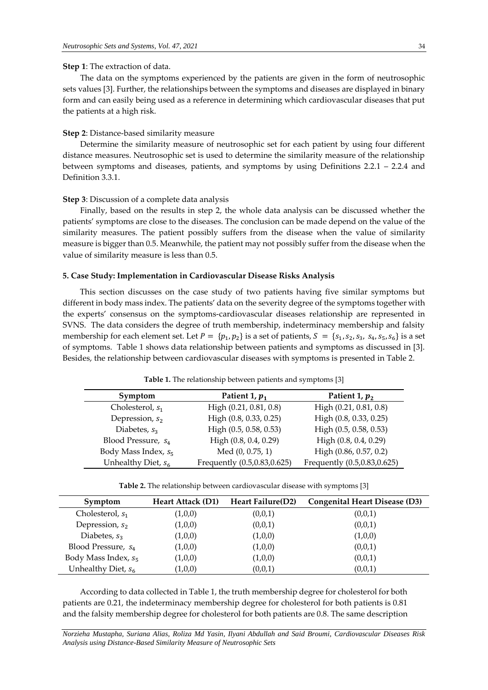## **Step 1**: The extraction of data.

The data on the symptoms experienced by the patients are given in the form of neutrosophic sets values [3]. Further, the relationships between the symptoms and diseases are displayed in binary form and can easily being used as a reference in determining which cardiovascular diseases that put the patients at a high risk.

## **Step 2**: Distance-based similarity measure

Determine the similarity measure of neutrosophic set for each patient by using four different distance measures. Neutrosophic set is used to determine the similarity measure of the relationship between symptoms and diseases, patients, and symptoms by using Definitions 2.2.1 – 2.2.4 and Definition 3.3.1.

#### **Step 3**: Discussion of a complete data analysis

Finally, based on the results in step 2, the whole data analysis can be discussed whether the patients' symptoms are close to the diseases. The conclusion can be made depend on the value of the similarity measures. The patient possibly suffers from the disease when the value of similarity measure is bigger than 0.5. Meanwhile, the patient may not possibly suffer from the disease when the value of similarity measure is less than 0.5.

## **5. Case Study: Implementation in Cardiovascular Disease Risks Analysis**

This section discusses on the case study of two patients having five similar symptoms but different in body mass index. The patients' data on the severity degree of the symptoms together with the experts' consensus on the symptoms-cardiovascular diseases relationship are represented in SVNS. The data considers the degree of truth membership, indeterminacy membership and falsity membership for each element set. Let  $P = \{p_1, p_2\}$  is a set of patients,  $S = \{s_1, s_2, s_3, s_4, s_5, s_6\}$  is a set of symptoms. Table 1 shows data relationship between patients and symptoms as discussed in [3]. Besides, the relationship between cardiovascular diseases with symptoms is presented in Table 2.

| Symptom                         | Patient 1, $p_1$            | Patient 1, $p_2$            |
|---------------------------------|-----------------------------|-----------------------------|
| Cholesterol, $s_1$              | High (0.21, 0.81, 0.8)      | High (0.21, 0.81, 0.8)      |
| Depression, $s_2$               | High (0.8, 0.33, 0.25)      | High (0.8, 0.33, 0.25)      |
| Diabetes, $s_3$                 | High (0.5, 0.58, 0.53)      | High (0.5, 0.58, 0.53)      |
| Blood Pressure, S <sub>4</sub>  | High (0.8, 0.4, 0.29)       | High (0.8, 0.4, 0.29)       |
| Body Mass Index, S <sub>5</sub> | Med (0, 0.75, 1)            | High (0.86, 0.57, 0.2)      |
| Unhealthy Diet, $s_6$           | Frequently (0.5,0.83,0.625) | Frequently (0.5,0.83,0.625) |

**Table 1.** The relationship between patients and symptoms [3]

**Table 2.** The relationship between cardiovascular disease with symptoms [3]

| Symptom                         | <b>Heart Attack (D1)</b> | <b>Heart Failure</b> (D2) | <b>Congenital Heart Disease (D3)</b> |
|---------------------------------|--------------------------|---------------------------|--------------------------------------|
| Cholesterol, $s_1$              | (1,0,0)                  | (0,0,1)                   | (0,0,1)                              |
| Depression, $s_2$               | (1,0,0)                  | (0,0,1)                   | (0,0,1)                              |
| Diabetes, $s_3$                 | (1,0,0)                  | (1,0,0)                   | (1,0,0)                              |
| Blood Pressure, S <sub>4</sub>  | (1,0,0)                  | (1,0,0)                   | (0,0,1)                              |
| Body Mass Index, S <sub>5</sub> | (1,0,0)                  | (1,0,0)                   | (0,0,1)                              |
| Unhealthy Diet, $s_6$           | (1,0,0)                  | (0,0,1)                   | (0,0,1)                              |

According to data collected in Table 1, the truth membership degree for cholesterol for both patients are 0.21, the indeterminacy membership degree for cholesterol for both patients is 0.81 and the falsity membership degree for cholesterol for both patients are 0.8. The same description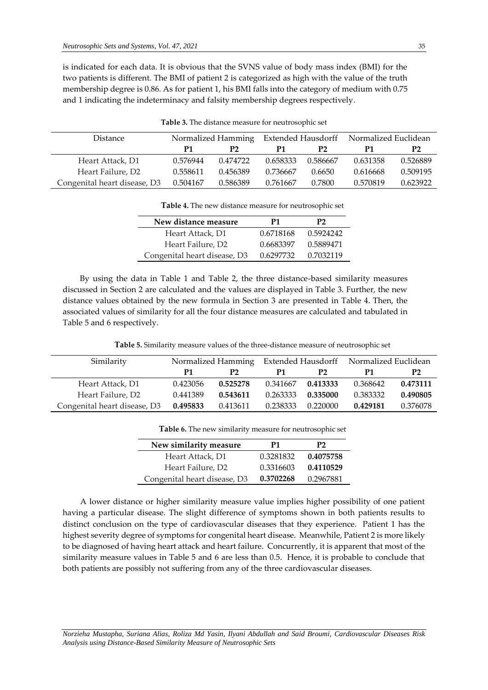is indicated for each data. It is obvious that the SVNS value of body mass index (BMI) for the two patients is different. The BMI of patient 2 is categorized as high with the value of the truth membership degree is 0.86. As for patient 1, his BMI falls into the category of medium with 0.75 and 1 indicating the indeterminacy and falsity membership degrees respectively.

| Distance                     | Normalized Hamming |          | Extended Hausdorff |          | Normalized Euclidean |                |
|------------------------------|--------------------|----------|--------------------|----------|----------------------|----------------|
|                              | P1                 | P2       | P1                 | P2       | P1                   | P <sub>2</sub> |
| Heart Attack, D1             | 0.576944           | 0.474722 | 0.658333           | 0.586667 | 0.631358             | 0.526889       |
| Heart Failure, D2            | 0.558611           | 0.456389 | 0.736667           | 0.6650   | 0.616668             | 0.509195       |
| Congenital heart disease, D3 | 0.504167           | 0.586389 | 0.761667           | 0.7800   | 0.570819             | 0.623922       |

|  |  |  |  |  |  | <b>Table 3.</b> The distance measure for neutrosophic set |  |  |  |
|--|--|--|--|--|--|-----------------------------------------------------------|--|--|--|
|--|--|--|--|--|--|-----------------------------------------------------------|--|--|--|

| New distance measure         | Р1        | P2        |
|------------------------------|-----------|-----------|
| Heart Attack, D1             | 0.6718168 | 0.5924242 |
| Heart Failure, D2            | 0.6683397 | 0.5889471 |
| Congenital heart disease, D3 | 0.6297732 | 0.7032119 |

**Table 4.** The new distance measure for neutrosophic set

By using the data in Table 1 and Table 2, the three distance-based similarity measures discussed in Section 2 are calculated and the values are displayed in Table 3. Further, the new distance values obtained by the new formula in Section 3 are presented in Table 4. Then, the associated values of similarity for all the four distance measures are calculated and tabulated in Table 5 and 6 respectively.

**Table 5.** Similarity measure values of the three-distance measure of neutrosophic set

| Similarity                   | Normalized Hamming |          |          |          | Extended Hausdorff Normalized Euclidean |          |
|------------------------------|--------------------|----------|----------|----------|-----------------------------------------|----------|
|                              | P1                 | P2       | P1       | P2       |                                         | Р2       |
| Heart Attack, D1             | 0.423056           | 0.525278 | 0.341667 | 0.413333 | 0.368642                                | 0.473111 |
| Heart Failure, D2            | 0.441389           | 0.543611 | 0.263333 | 0.335000 | 0.383332                                | 0.490805 |
| Congenital heart disease, D3 | 0.495833           | 0.413611 | 0.238333 | 0.220000 | 0.429181                                | 0.376078 |

| New similarity measure       | Р1        | P2.       |
|------------------------------|-----------|-----------|
| Heart Attack, D1             | 0.3281832 | 0.4075758 |
| Heart Failure, D2            | 0.3316603 | 0.4110529 |
| Congenital heart disease, D3 | 0.3702268 | 0.2967881 |

**Table 6.** The new similarity measure for neutrosophic set

A lower distance or higher similarity measure value implies higher possibility of one patient having a particular disease. The slight difference of symptoms shown in both patients results to distinct conclusion on the type of cardiovascular diseases that they experience. Patient 1 has the highest severity degree of symptoms for congenital heart disease. Meanwhile, Patient 2 is more likely to be diagnosed of having heart attack and heart failure. Concurrently, it is apparent that most of the similarity measure values in Table 5 and 6 are less than 0.5. Hence, it is probable to conclude that both patients are possibly not suffering from any of the three cardiovascular diseases.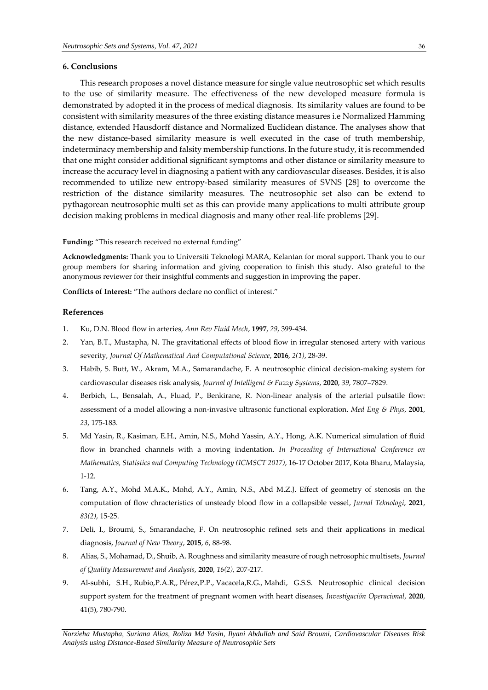## **6. Conclusions**

This research proposes a novel distance measure for single value neutrosophic set which results to the use of similarity measure. The effectiveness of the new developed measure formula is demonstrated by adopted it in the process of medical diagnosis. Its similarity values are found to be consistent with similarity measures of the three existing distance measures i.e Normalized Hamming distance, extended Hausdorff distance and Normalized Euclidean distance. The analyses show that the new distance-based similarity measure is well executed in the case of truth membership, indeterminacy membership and falsity membership functions. In the future study, it is recommended that one might consider additional significant symptoms and other distance or similarity measure to increase the accuracy level in diagnosing a patient with any cardiovascular diseases. Besides, it is also recommended to utilize new entropy-based similarity measures of SVNS [28] to overcome the restriction of the distance similarity measures. The neutrosophic set also can be extend to pythagorean neutrosophic multi set as this can provide many applications to multi attribute group decision making problems in medical diagnosis and many other real-life problems [29].

**Funding:** "This research received no external funding"

**Acknowledgments:** Thank you to Universiti Teknologi MARA, Kelantan for moral support. Thank you to our group members for sharing information and giving cooperation to finish this study. Also grateful to the anonymous reviewer for their insightful comments and suggestion in improving the paper.

**Conflicts of Interest:** "The authors declare no conflict of interest."

## **References**

- 1. Ku, D.N. Blood flow in arteries, *Ann Rev Fluid Mech*, **1997**, *29*, 399-434.
- 2. Yan, B.T., Mustapha, N. The gravitational effects of blood flow in irregular stenosed artery with various severity*, Journal Of Mathematical And Computational Science*, **2016**, *2(1)*, 28-39.
- 3. Habib, S. Butt, W., Akram, M.A., Samarandache, F. A neutrosophic clinical decision-making system for cardiovascular diseases risk analysis, *Journal of Intelligent & Fuzzy Systems*, **2020**, *39*, 7807–7829.
- 4. Berbich, L., Bensalah, A., Fluad, P., Benkirane, R. Non-linear analysis of the arterial pulsatile flow: assessment of a model allowing a non-invasive ultrasonic functional exploration. *Med Eng & Phys*, **2001**, *23*, 175-183.
- 5. Md Yasin, R., Kasiman, E.H., Amin, N.S., Mohd Yassin, A.Y., Hong, A.K. Numerical simulation of fluid flow in branched channels with a moving indentation. *In Proceeding of International Conference on Mathematics, Statistics and Computing Technology (ICMSCT 2017)*, 16-17 October 2017, Kota Bharu, Malaysia, 1-12.
- 6. Tang, A.Y., Mohd M.A.K., Mohd, A.Y., Amin, N.S., Abd M.Z.J. Effect of geometry of stenosis on the computation of flow chracteristics of unsteady blood flow in a collapsible vessel, *Jurnal Teknologi*, **2021**, *83(2)*, 15-25.
- 7. Deli, I., Broumi, S., Smarandache, F. On neutrosophic refined sets and their applications in medical diagnosis, *Journal of New Theory*, **2015**, *6*, 88-98.
- 8. Alias, S., Mohamad, D., Shuib, A. Roughness and similarity measure of rough netrosophic multisets, *Journal of Quality Measurement and Analysis*, **2020**, *16(2)*, 207-217.
- 9. [Al-subhi,](https://go.gale.com/ps/advancedSearch.do?method=doSearch&searchType=AdvancedSearchForm&userGroupName=anon%7E318b2ee5&inputFieldNames%5b0%5d=AU&prodId=AONE&inputFieldValues%5b0%5d=%22Salah+Hasan+Al-subhi%22) S.H., [Rubio,](https://go.gale.com/ps/advancedSearch.do?method=doSearch&searchType=AdvancedSearchForm&userGroupName=anon%7E318b2ee5&inputFieldNames%5b0%5d=AU&prodId=AONE&inputFieldValues%5b0%5d=%22Pedro+Antonio+Rom%C3%A1n+Rubio%22)P.A.R,, [Pérez,](https://go.gale.com/ps/advancedSearch.do?method=doSearch&searchType=AdvancedSearchForm&userGroupName=anon%7E318b2ee5&inputFieldNames%5b0%5d=AU&prodId=AONE&inputFieldValues%5b0%5d=%22Pedro+Pi%C3%B1ero+P%C3%A9rez%22)P.P., [Vacacela,R](https://go.gale.com/ps/advancedSearch.do?method=doSearch&searchType=AdvancedSearchForm&userGroupName=anon%7E318b2ee5&inputFieldNames%5b0%5d=AU&prodId=AONE&inputFieldValues%5b0%5d=%22Roberto+Garc%C3%ADa+Vacacela%22).G., [Mahdi,](https://go.gale.com/ps/advancedSearch.do?method=doSearch&searchType=AdvancedSearchForm&userGroupName=anon%7E318b2ee5&inputFieldNames%5b0%5d=AU&prodId=AONE&inputFieldValues%5b0%5d=%22Gaafar+Sadeq+S.+Mahdi%22) G.S.S. Neutrosophic clinical decision support system for the treatment of pregnant women with heart diseases, *Investigación Operacional*, **2020**, 41(5), 780-790.